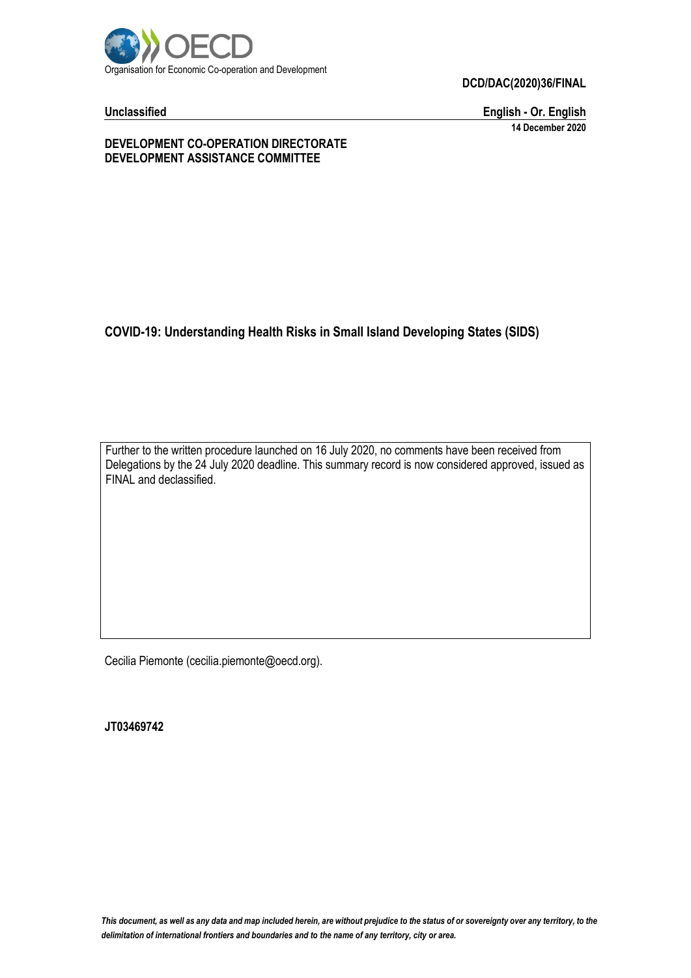

**DCD/DAC(2020)36/FINAL**

**Unclassified English - Or. English 14 December 2020**

**DEVELOPMENT CO-OPERATION DIRECTORATE DEVELOPMENT ASSISTANCE COMMITTEE**

### **COVID-19: Understanding Health Risks in Small Island Developing States (SIDS)**

Further to the written procedure launched on 16 July 2020, no comments have been received from Delegations by the 24 July 2020 deadline. This summary record is now considered approved, issued as FINAL and declassified.

Cecilia Piemonte (cecilia.piemonte@oecd.org).

**JT03469742**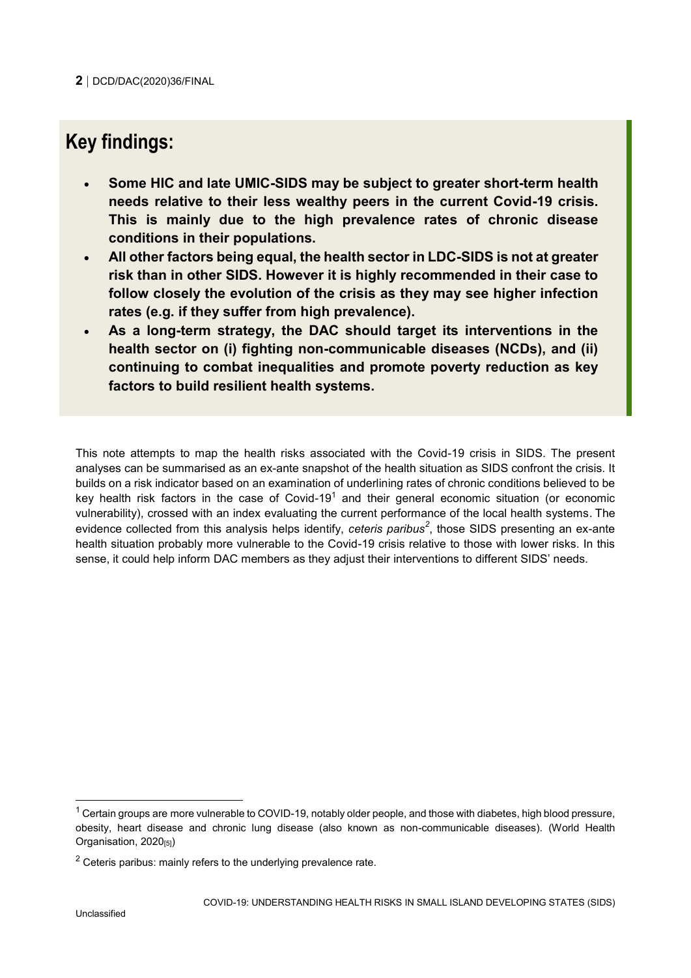## **Key findings:**

- **Some HIC and late UMIC-SIDS may be subject to greater short-term health needs relative to their less wealthy peers in the current Covid-19 crisis. This is mainly due to the high prevalence rates of chronic disease conditions in their populations.**
- **All other factors being equal, the health sector in LDC-SIDS is not at greater risk than in other SIDS. However it is highly recommended in their case to follow closely the evolution of the crisis as they may see higher infection rates (e.g. if they suffer from high prevalence).**
- **As a long-term strategy, the DAC should target its interventions in the health sector on (i) fighting non-communicable diseases (NCDs), and (ii) continuing to combat inequalities and promote poverty reduction as key factors to build resilient health systems.**

This note attempts to map the health risks associated with the Covid-19 crisis in SIDS. The present analyses can be summarised as an ex-ante snapshot of the health situation as SIDS confront the crisis. It builds on a risk indicator based on an examination of underlining rates of chronic conditions believed to be key health risk factors in the case of Covid-19<sup>1</sup> and their general economic situation (or economic vulnerability), crossed with an index evaluating the current performance of the local health systems. The evidence collected from this analysis helps identify, *ceteris paribus<sup>2</sup>* , those SIDS presenting an ex-ante health situation probably more vulnerable to the Covid-19 crisis relative to those with lower risks. In this sense, it could help inform DAC members as they adjust their interventions to different SIDS' needs.

 $1$  Certain groups are more vulnerable to COVID-19, notably older people, and those with diabetes, high blood pressure, obesity, heart disease and chronic lung disease (also known as non-communicable diseases). (World Health Organisation, 2020[5])

 $2$  Ceteris paribus: mainly refers to the underlying prevalence rate.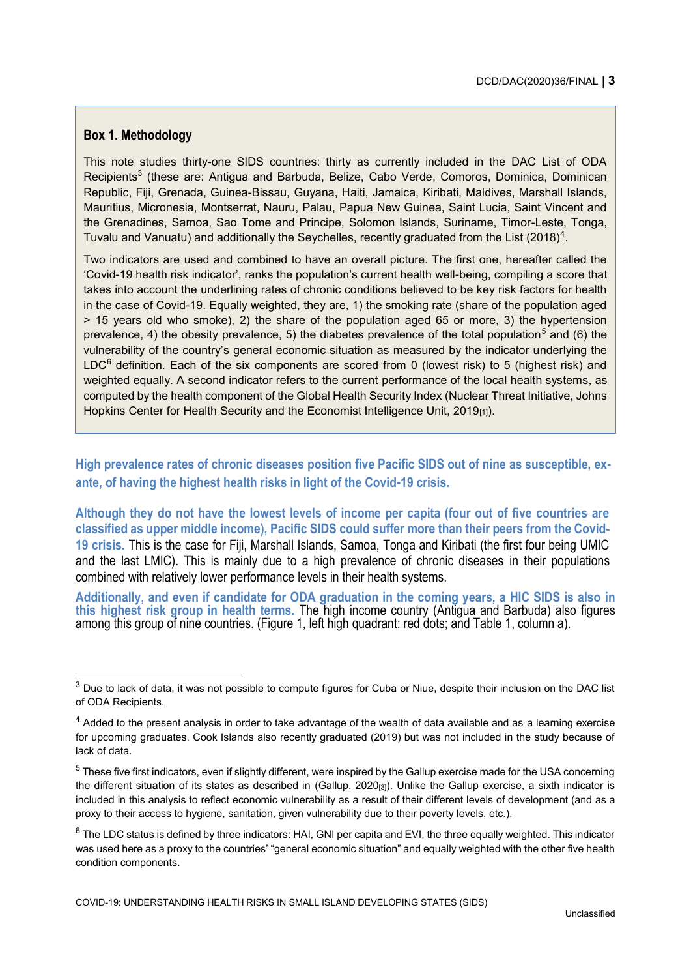#### **Box 1. Methodology**

This note studies thirty-one SIDS countries: thirty as currently included in the DAC List of ODA Recipients<sup>3</sup> (these are: Antigua and Barbuda, Belize, Cabo Verde, Comoros, Dominica, Dominican Republic, Fiji, Grenada, Guinea-Bissau, Guyana, Haiti, Jamaica, Kiribati, Maldives, Marshall Islands, Mauritius, Micronesia, Montserrat, Nauru, Palau, Papua New Guinea, Saint Lucia, Saint Vincent and the Grenadines, Samoa, Sao Tome and Principe, Solomon Islands, Suriname, Timor-Leste, Tonga, Tuvalu and Vanuatu) and additionally the Seychelles, recently graduated from the List (2018)<sup>4</sup>.

Two indicators are used and combined to have an overall picture. The first one, hereafter called the 'Covid-19 health risk indicator', ranks the population's current health well-being, compiling a score that takes into account the underlining rates of chronic conditions believed to be key risk factors for health in the case of Covid-19. Equally weighted, they are, 1) the smoking rate (share of the population aged > 15 years old who smoke), 2) the share of the population aged 65 or more, 3) the hypertension prevalence, 4) the obesity prevalence, 5) the diabetes prevalence of the total population<sup>5</sup> and (6) the vulnerability of the country's general economic situation as measured by the indicator underlying the  $LDC<sup>6</sup>$  definition. Each of the six components are scored from 0 (lowest risk) to 5 (highest risk) and weighted equally. A second indicator refers to the current performance of the local health systems, as computed by the health component of the Global Health Security Index (Nuclear Threat Initiative, Johns Hopkins Center for Health Security and the Economist Intelligence Unit,  $2019_{(1)}$ .

**High prevalence rates of chronic diseases position five Pacific SIDS out of nine as susceptible, exante, of having the highest health risks in light of the Covid-19 crisis.**

**Although they do not have the lowest levels of income per capita (four out of five countries are classified as upper middle income), Pacific SIDS could suffer more than their peers from the Covid-19 crisis.** This is the case for Fiji, Marshall Islands, Samoa, Tonga and Kiribati (the first four being UMIC and the last LMIC). This is mainly due to a high prevalence of chronic diseases in their populations combined with relatively lower performance levels in their health systems.

**Additionally, and even if candidate for ODA graduation in the coming years, a HIC SIDS is also in this highest risk group in health terms.** The high income country (Antigua and Barbuda) also figures among this group of nine countries. (Figure 1, left high quadrant: red dots; and Table 1, column a).

 $3$  Due to lack of data, it was not possible to compute figures for Cuba or Niue, despite their inclusion on the DAC list of ODA Recipients.

 $4$  Added to the present analysis in order to take advantage of the wealth of data available and as a learning exercise for upcoming graduates. Cook Islands also recently graduated (2019) but was not included in the study because of lack of data.

<sup>5</sup> These five first indicators, even if slightly different, were inspired by the Gallup exercise made for the USA concerning the different situation of its states as described in (Gallup, 2020<sub>[3]</sub>). Unlike the Gallup exercise, a sixth indicator is included in this analysis to reflect economic vulnerability as a result of their different levels of development (and as a proxy to their access to hygiene, sanitation, given vulnerability due to their poverty levels, etc.).

 $6$  The LDC status is defined by three indicators: HAI, GNI per capita and EVI, the three equally weighted. This indicator was used here as a proxy to the countries' "general economic situation" and equally weighted with the other five health condition components.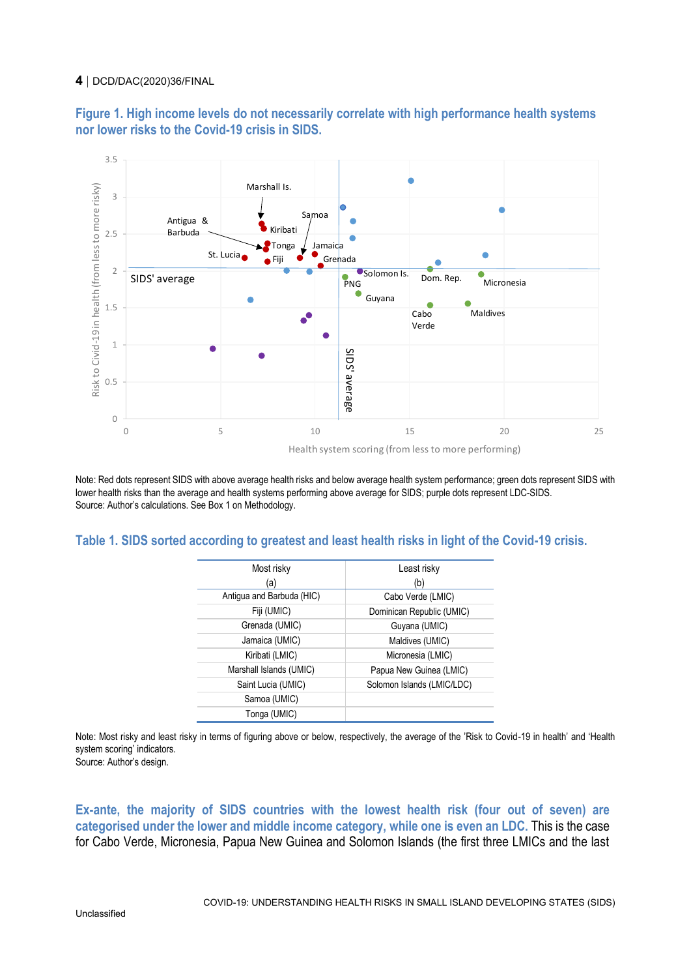#### **4** DCD/DAC(2020)36/FINAL

**Figure 1. High income levels do not necessarily correlate with high performance health systems nor lower risks to the Covid-19 crisis in SIDS.**



Note: Red dots represent SIDS with above average health risks and below average health system performance; green dots represent SIDS with lower health risks than the average and health systems performing above average for SIDS; purple dots represent LDC-SIDS. Source: Author's calculations. See Box 1 on Methodology.

#### **Table 1. SIDS sorted according to greatest and least health risks in light of the Covid-19 crisis.**

| Most risky                | Least risky                |
|---------------------------|----------------------------|
| (a)                       | (b)                        |
| Antigua and Barbuda (HIC) | Cabo Verde (LMIC)          |
| Fiji (UMIC)               | Dominican Republic (UMIC)  |
| Grenada (UMIC)            | Guyana (UMIC)              |
| Jamaica (UMIC)            | Maldives (UMIC)            |
| Kiribati (LMIC)           | Micronesia (LMIC)          |
| Marshall Islands (UMIC)   | Papua New Guinea (LMIC)    |
| Saint Lucia (UMIC)        | Solomon Islands (LMIC/LDC) |
| Samoa (UMIC)              |                            |
| Tonga (UMIC)              |                            |

Note: Most risky and least risky in terms of figuring above or below, respectively, the average of the 'Risk to Covid-19 in health' and 'Health system scoring' indicators.

Source: Author's design.

**Ex-ante, the majority of SIDS countries with the lowest health risk (four out of seven) are categorised under the lower and middle income category, while one is even an LDC.** This is the case for Cabo Verde, Micronesia, Papua New Guinea and Solomon Islands (the first three LMICs and the last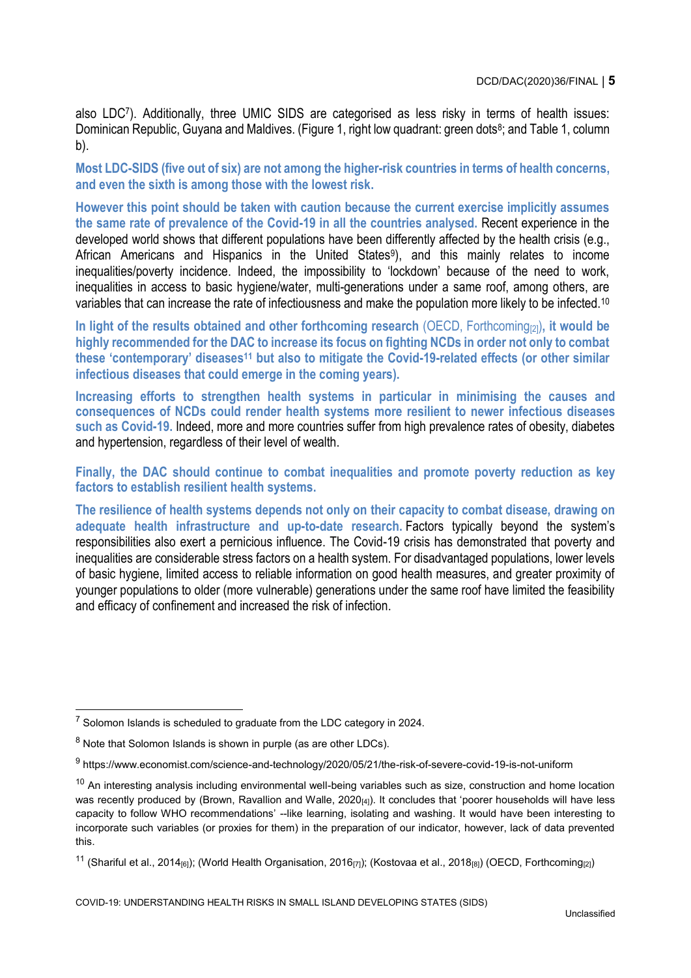also LDC<sup>7</sup> ). Additionally, three UMIC SIDS are categorised as less risky in terms of health issues: Dominican Republic, Guyana and Maldives. (Figure 1, right low quadrant: green dots<sup>8</sup>; and Table 1, column b).

**Most LDC-SIDS (five out of six) are not among the higher-risk countries in terms of health concerns, and even the sixth is among those with the lowest risk.** 

**However this point should be taken with caution because the current exercise implicitly assumes the same rate of prevalence of the Covid-19 in all the countries analysed.** Recent experience in the developed world shows that different populations have been differently affected by the health crisis (e.g., African Americans and Hispanics in the United States<sup>9</sup>), and this mainly relates to income inequalities/poverty incidence. Indeed, the impossibility to 'lockdown' because of the need to work, inequalities in access to basic hygiene/water, multi-generations under a same roof, among others, are variables that can increase the rate of infectiousness and make the population more likely to be infected.<sup>10</sup>

**In light of the results obtained and other forthcoming research** (OECD, Forthcoming[2])**, it would be highly recommended for the DAC to increase its focus on fighting NCDs in order not only to combat these 'contemporary' diseases<sup>11</sup> but also to mitigate the Covid-19-related effects (or other similar infectious diseases that could emerge in the coming years).**

**Increasing efforts to strengthen health systems in particular in minimising the causes and consequences of NCDs could render health systems more resilient to newer infectious diseases such as Covid-19.** Indeed, more and more countries suffer from high prevalence rates of obesity, diabetes and hypertension, regardless of their level of wealth.

**Finally, the DAC should continue to combat inequalities and promote poverty reduction as key factors to establish resilient health systems.**

**The resilience of health systems depends not only on their capacity to combat disease, drawing on adequate health infrastructure and up-to-date research.** Factors typically beyond the system's responsibilities also exert a pernicious influence. The Covid-19 crisis has demonstrated that poverty and inequalities are considerable stress factors on a health system. For disadvantaged populations, lower levels of basic hygiene, limited access to reliable information on good health measures, and greater proximity of younger populations to older (more vulnerable) generations under the same roof have limited the feasibility and efficacy of confinement and increased the risk of infection.

 $7$  Solomon Islands is scheduled to graduate from the LDC category in 2024.

 $8$  Note that Solomon Islands is shown in purple (as are other LDCs).

<sup>&</sup>lt;sup>9</sup> https://www.economist.com/science-and-technology/2020/05/21/the-risk-of-severe-covid-19-is-not-uniform

 $10$  An interesting analysis including environmental well-being variables such as size, construction and home location was recently produced by (Brown, Ravallion and Walle,  $2020_{[4]}$ ). It concludes that 'poorer households will have less capacity to follow WHO recommendations' --like learning, isolating and washing. It would have been interesting to incorporate such variables (or proxies for them) in the preparation of our indicator, however, lack of data prevented this.

<sup>&</sup>lt;sup>11</sup> (Shariful et al., 2014<sub>[6]</sub>); (World Health Organisation, 2016<sub>[7]</sub>); (Kostovaa et al., 2018<sub>[8]</sub>) (OECD, Forthcoming<sub>[2]</sub>)